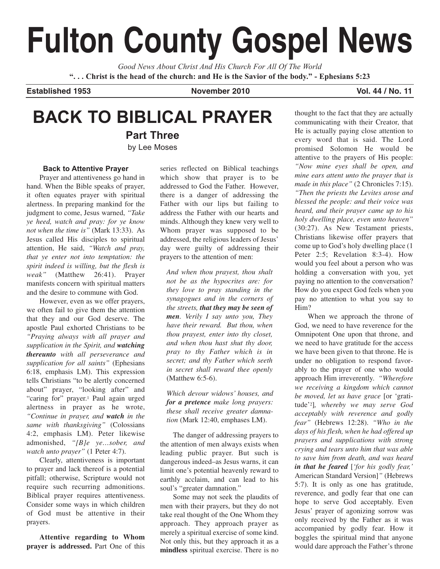# **Fulton County Gospel News**

*Good News About Christ And His Church For All Of The World* **". . . Christ is the head of the church: and He is the Savior of the body." - Ephesians 5:23**

**Established 1953 November 2010 Vol. 44 / No. 11**

# **BACK TO BIBLICAL PRAYER**

**Part Three** by Lee Moses

#### **Back to Attentive Prayer**

Prayer and attentiveness go hand in hand. When the Bible speaks of prayer, it often equates prayer with spiritual alertness. In preparing mankind for the judgment to come, Jesus warned, *"Take ye heed, watch and pray: for ye know not when the time is"* (Mark 13:33). As Jesus called His disciples to spiritual attention, He said, *"Watch and pray, that ye enter not into temptation: the spirit indeed is willing, but the flesh is weak"* (Matthew 26:41). Prayer manifests concern with spiritual matters and the desire to commune with God.

However, even as we offer prayers, we often fail to give them the attention that they and our God deserve. The apostle Paul exhorted Christians to be *"Praying always with all prayer and supplication in the Spirit, and watching thereunto with all perseverance and supplication for all saints"* (Ephesians 6:18, emphasis LM). This expression tells Christians "to be alertly concerned about" prayer, "looking after" and "caring for" prayer.<sup>1</sup> Paul again urged alertness in prayer as he wrote, *"Continue in prayer, and watch in the same with thanksgiving"* (Colossians 4:2, emphasis LM). Peter likewise admonished, *"[B]e ye…sober, and watch unto prayer"* (1 Peter 4:7).

Clearly, attentiveness is important to prayer and lack thereof is a potential pitfall; otherwise, Scripture would not require such recurring admonitions. Biblical prayer requires attentiveness. Consider some ways in which children of God must be attentive in their prayers.

**Attentive regarding to Whom prayer is addressed.** Part One of this series reflected on Biblical teachings which show that prayer is to be addressed to God the Father. However, there is a danger of addressing the Father with our lips but failing to address the Father with our hearts and minds. Although they knew very well to Whom prayer was supposed to be addressed, the religious leaders of Jesus' day were guilty of addressing their prayers to the attention of men:

*And when thou prayest, thou shalt not be as the hypocrites are: for they love to pray standing in the synagogues and in the corners of the streets, that they may be seen of men. Verily I say unto you, They have their reward. But thou, when thou prayest, enter into thy closet, and when thou hast shut thy door, pray to thy Father which is in secret; and thy Father which seeth in secret shall reward thee openly* (Matthew 6:5-6).

*Which devour widows' houses, and for a pretence make long prayers: these shall receive greater damnation* (Mark 12:40, emphases LM).

The danger of addressing prayers to the attention of men always exists when leading public prayer. But such is dangerous indeed–as Jesus warns, it can limit one's potential heavenly reward to earthly acclaim, and can lead to his soul's "greater damnation."

Some may not seek the plaudits of men with their prayers, but they do not take real thought of the One Whom they approach. They approach prayer as merely a spiritual exercise of some kind. Not only this, but they approach it as a **mindless** spiritual exercise. There is no

thought to the fact that they are actually communicating with their Creator, that He is actually paying close attention to every word that is said. The Lord promised Solomon He would be attentive to the prayers of His people: *"Now mine eyes shall be open, and mine ears attent unto the prayer that is made in this place"* (2 Chronicles 7:15). *"Then the priests the Levites arose and blessed the people: and their voice was heard, and their prayer came up to his holy dwelling place, even unto heaven"* (30:27). As New Testament priests, Christians likewise offer prayers that come up to God's holy dwelling place (1 Peter 2:5; Revelation 8:3-4). How would you feel about a person who was holding a conversation with you, yet paying no attention to the conversation? How do you expect God feels when you pay no attention to what you say to Him?

When we approach the throne of God, we need to have reverence for the Omnipotent One upon that throne, and we need to have gratitude for the access we have been given to that throne. He is under no obligation to respond favorably to the prayer of one who would approach Him irreverently. *"Wherefore we receiving a kingdom which cannot be moved, let us have grace* [or 'gratitude'2]*, whereby we may serve God acceptably with reverence and godly fear"* (Hebrews 12:28). *"Who in the days of his flesh, when he had offered up prayers and supplications with strong crying and tears unto him that was able to save him from death, and was heard in that he feared* [*'for his godly fear,'* American Standard Version]*"* (Hebrews 5:7). It is only as one has gratitude, reverence, and godly fear that one can hope to serve God acceptably. Even Jesus' prayer of agonizing sorrow was only received by the Father as it was accompanied by godly fear. How it boggles the spiritual mind that anyone would dare approach the Father's throne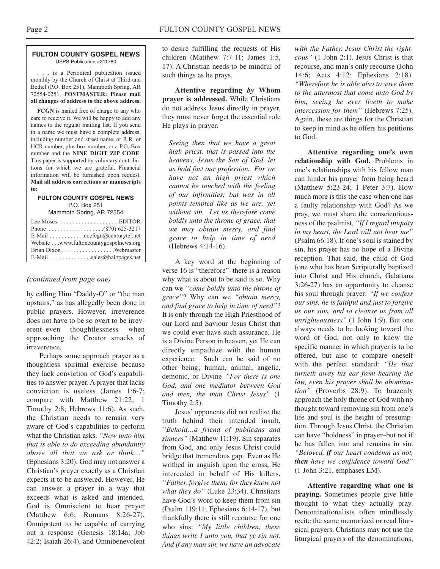#### **FULTON COUNTY GOSPEL NEWS** USPS Publication #211780

. . . is a Periodical publication issued monthly by the Church of Christ at Third and Bethel (P.O. Box 251), Mammoth Spring, AR 72554-0251. **POSTMASTER: Please mail all changes of address to the above address.**

**FCGN** is mailed free of charge to any who care to receive it. We will be happy to add any names to the regular mailing list. If you send in a name we must have a complete address, including number and street name, or R.R. or HCR number, plus box number, or a P.O. Box number and the **NINE DIGIT ZIP CODE**. This paper is supported by voluntary contributions for which we are grateful. Financial information will be furnished upon request. **Mail all address corrections or manuscripts to:**

#### **FULTON COUNTY GOSPEL NEWS** P.O. Box 251

Mammoth Spring, AR 72554

| Lee Moses $\dots \dots \dots \dots \dots$ . EDITOR          |
|-------------------------------------------------------------|
|                                                             |
| E-Mail $\ldots \ldots \ldots \ldots$ cocfcgn@centurytel.net |
| Website www.fultoncountygospelnews.org                      |
|                                                             |
| E-Mail $\dots \dots \dots \dots$ sales@halopages.net        |

#### *(continued from page one)*

by calling Him "Daddy-O" or "the man upstairs," as has allegedly been done in public prayers. However, irreverence does not have to be so overt to be irreverent–even thoughtlessness when approaching the Creator smacks of irreverence.

Perhaps some approach prayer as a thoughtless spiritual exercise because they lack conviction of God's capabilities to answer prayer. A prayer that lacks conviction is useless (James 1:6-7; compare with Matthew 21:22; 1 Timothy 2:8; Hebrews 11:6). As such, the Christian needs to remain very aware of God's capabilities to perform what the Christian asks. *"Now unto him that is able to do exceeding abundantly above all that we ask or think…"* (Ephesians 3:20). God may not answer a Christian's prayer exactly as a Christian expects it to be answered. However, He can answer a prayer in a way that exceeds what is asked and intended. God is Omniscient to hear prayer (Matthew 6:6; Romans 8:26-27), Omnipotent to be capable of carrying out a response (Genesis 18:14a; Job 42:2; Isaiah 26:4), and Omnibenevolent to desire fulfilling the requests of His children (Matthew 7:7-11; James 1:5, 17). A Christian needs to be mindful of such things as he prays.

**Attentive regarding** *by* **Whom prayer is addressed.** While Christians do not address Jesus directly in prayer, they must never forget the essential role He plays in prayer.

*Seeing then that we have a great high priest, that is passed into the heavens, Jesus the Son of God, let us hold fast our profession. For we have not an high priest which cannot be touched with the feeling of our infirmities; but was in all points tempted like as we are, yet without sin. Let us therefore come boldly unto the throne of grace, that we may obtain mercy, and find grace to help in time of need* (Hebrews 4:14-16).

A key word at the beginning of verse 16 is "therefore"–there is a reason why what is about to be said is so. Why can we *"come boldly unto the throne of grace"*? Why can we *"obtain mercy, and find grace to help in time of need"*? It is only through the High Priesthood of our Lord and Saviour Jesus Christ that we could ever have such assurance. He is a Divine Person in heaven, yet He can directly empathize with the human experience. Such can be said of no other being; human, animal, angelic, demonic, or Divine–*"For there is one God, and one mediator between God and men, the man Christ Jesus"* (1 Timothy 2:5).

Jesus' opponents did not realize the truth behind their intended insult, *"Behold…a friend of publicans and sinners"* (Matthew 11:19). Sin separates from God, and only Jesus Christ could bridge that tremendous gap. Even as He writhed in anguish upon the cross, He interceded in behalf of His killers, *"Father, forgive them; for they know not what they do"* (Luke 23:34). Christians have God's word to keep them from sin (Psalm 119:11; Ephesians 6:14-17), but thankfully there is still recourse for one who sins: *"My little children, these things write I unto you, that ye sin not. And if any man sin, we have an advocate*

*with the Father, Jesus Christ the righteous"* (1 John 2:1). Jesus Christ is that recourse, and man's only recourse (John 14:6; Acts 4:12; Ephesians 2:18). *"Wherefore he is able also to save them to the uttermost that come unto God by him, seeing he ever liveth to make intercession for them"* (Hebrews 7:25). Again, these are things for the Christian to keep in mind as he offers his petitions to God.

**Attentive regarding one's own relationship with God.** Problems in one's relationships with his fellow man can hinder his prayer from being heard (Matthew 5:23-24; 1 Peter 3:7). How much more is this the case when one has a faulty relationship with God? As we pray, we must share the conscientiousness of the psalmist, *"If I regard iniquity in my heart, the Lord will not hear me"* (Psalm 66:18). If one's soul is stained by sin, his prayer has no hope of a Divine reception. That said, the child of God (one who has been Scripturally baptized into Christ and His church, Galatians 3:26-27) has an opportunity to cleanse his soul through prayer: *"If we confess our sins, he is faithful and just to forgive us our sins, and to cleanse us from all unrighteousness"* (1 John 1:9). But one always needs to be looking toward the word of God, not only to know the specific manner in which prayer is to be offered, but also to compare oneself with the perfect standard: *"He that turneth away his ear from hearing the law, even his prayer shall be abomination"* (Proverbs 28:9). To brazenly approach the holy throne of God with no thought toward removing sin from one's life and soul is the height of presumption. Through Jesus Christ, the Christian can have "boldness" in prayer–but not if he has fallen into and remains in sin. *"Beloved, if our heart condemn us not, then have we confidence toward God"* (1 John 3:21, emphases LM).

**Attentive regarding what one is praying.** Sometimes people give little thought to what they actually pray. Denominationalists often mindlessly recite the same memorized or read liturgical prayers. Christians may not use the liturgical prayers of the denominations,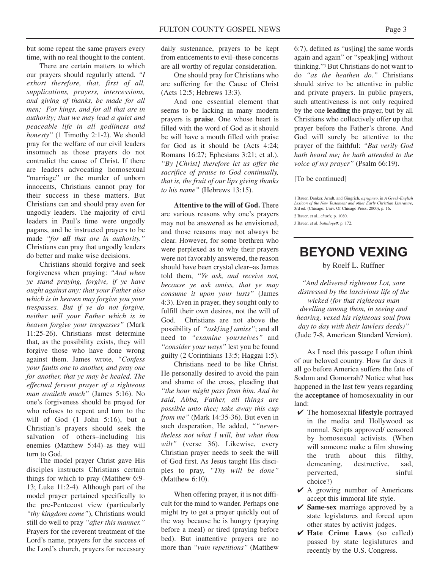but some repeat the same prayers every time, with no real thought to the content.

There are certain matters to which our prayers should regularly attend. *"I exhort therefore, that, first of all, supplications, prayers, intercessions, and giving of thanks, be made for all men; For kings, and for all that are in authority; that we may lead a quiet and peaceable life in all godliness and honesty"* (1 Timothy 2:1-2). We should pray for the welfare of our civil leaders insomuch as those prayers do not contradict the cause of Christ. If there are leaders advocating homosexual "marriage" or the murder of unborn innocents, Christians cannot pray for their success in these matters. But Christians can and should pray even for ungodly leaders. The majority of civil leaders in Paul's time were ungodly pagans, and he instructed prayers to be made *"for all that are in authority."* Christians can pray that ungodly leaders do better and make wise decisions.

Christians should forgive and seek forgiveness when praying: *"And when ye stand praying, forgive, if ye have ought against any: that your Father also which is in heaven may forgive you your trespasses. But if ye do not forgive, neither will your Father which is in heaven forgive your trespasses"* (Mark 11:25-26). Christians must determine that, as the possibility exists, they will forgive those who have done wrong against them. James wrote, *"Confess your faults one to another, and pray one for another, that ye may be healed. The effectual fervent prayer of a righteous man availeth much"* (James 5:16). No one's forgiveness should be prayed for who refuses to repent and turn to the will of God (1 John 5:16), but a Christian's prayers should seek the salvation of others–including his enemies (Matthew 5:44)–as they will turn to God.

The model prayer Christ gave His disciples instructs Christians certain things for which to pray (Matthew 6:9- 13; Luke 11:2-4). Although part of the model prayer pertained specifically to the pre-Pentecost view (particularly *"thy kingdom come"*), Christians would still do well to pray *"after this manner."* Prayers for the reverent treatment of the Lord's name, prayers for the success of the Lord's church, prayers for necessary daily sustenance, prayers to be kept from enticements to evil–these concerns are all worthy of regular consideration.

One should pray for Christians who are suffering for the Cause of Christ (Acts 12:5; Hebrews 13:3).

And one essential element that seems to be lacking in many modern prayers is **praise**. One whose heart is filled with the word of God as it should be will have a mouth filled with praise for God as it should be (Acts 4:24; Romans 16:27; Ephesians 3:21; et al.). *"By [Christ] therefore let us offer the sacrifice of praise to God continually, that is, the fruit of our lips giving thanks to his name"* (Hebrews 13:15).

**Attentive to the will of God.** There are various reasons why one's prayers may not be answered as he envisioned, and those reasons may not always be clear. However, for some brethren who were perplexed as to why their prayers were not favorably answered, the reason should have been crystal clear–as James told them, *"Ye ask, and receive not, because ye ask amiss, that ye may consume it upon your lusts"* (James 4:3). Even in prayer, they sought only to fulfill their own desires, not the will of God. Christians are not above the possibility of *"ask[ing] amiss"*; and all need to *"examine yourselves"* and *"consider your ways"* lest you be found guilty (2 Corinthians 13:5; Haggai 1:5).

Christians need to be like Christ. He personally desired to avoid the pain and shame of the cross, pleading that *"the hour might pass from him. And he said, Abba, Father, all things are possible unto thee; take away this cup from me"* (Mark 14:35-36). But even in such desperation, He added, *""nevertheless not what I will, but what thou* wilt" (verse 36). Likewise, every Christian prayer needs to seek the will of God first. As Jesus taught His disciples to pray, *"Thy will be done"* (Matthew 6:10).

When offering prayer, it is not difficult for the mind to wander. Perhaps one might try to get a prayer quickly out of the way because he is hungry (praying before a meal) or tired (praying before bed). But inattentive prayers are no more than *"vain repetitions"* (Matthew

6:7), defined as "us[ing] the same words again and again" or "speak[ing] without thinking."3 But Christians do not want to do *"as the heathen do."* Christians should strive to be attentive in public and private prayers. In public prayers, such attentiveness is not only required by the one **leading** the prayer, but by all Christians who collectively offer up that prayer before the Father's throne. And God will surely be attentive to the prayer of the faithful: *"But verily God hath heard me; he hath attended to the voice of my prayer"* (Psalm 66:19).

[To be continued]

1 Bauer, Danker, Arndt, and Gingrich, *agrupneo,* in *A Greek-English Lexicon of the New Testament and other Early Christian Literature*, 3rd ed. (Chicago: Univ. Of Chicago Press, 2000), p. 16.

2 Bauer, et al., *charis,* p. 1080.

#### 3 Bauer, et al, *battalogeo,* p. 172.

## **BEYOND VEXING**

by Roelf L. Ruffner

*"And delivered righteous Lot, sore distressed by the lascivious life of the wicked (for that righteous man dwelling among them, in seeing and hearing, vexed his righteous soul from day to day with their lawless deeds)"* (Jude 7-8, American Standard Version).

As I read this passage I often think of our beloved country. How far does it all go before America suffers the fate of Sodom and Gomorrah? Notice what has happened in the last few years regarding the **acceptance** of homosexuality in our land:

- ✔ The homosexual **lifestyle** portrayed in the media and Hollywood as normal. Scripts approved/ censored by homosexual activists. (When will someone make a film showing the truth about this filthy, demeaning, destructive, sad, perverted, sinful choice?)
- $\vee$  A growing number of Americans accept this immoral life style.
- ✔ **Same-sex** marriage approved by a state legislatures and forced upon other states by activist judges.
- ✔ **Hate Crime Laws** (so called) passed by state legislatures and recently by the U.S. Congress.